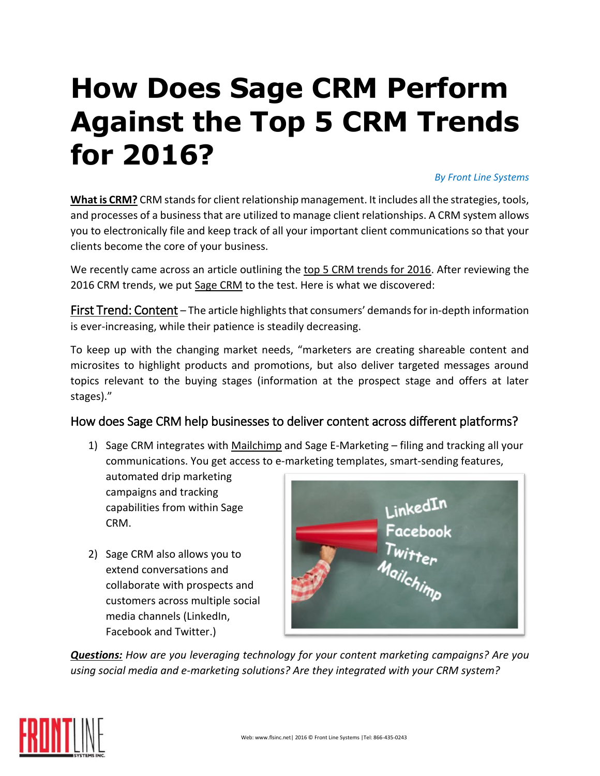# **How Does Sage CRM Perform Against the Top 5 CRM Trends for 2016?**

#### *By Front Line Systems*

What is CRM? CRM stands for client relationship management. It includes all the strategies, tools, and processes of a business that are utilized to manage client relationships. A CRM system allows you to electronically file and keep track of all your important client communications so that your clients become the core of your business.

We recently came across an article outlining the [top 5 CRM trends for 2016.](http://www.crmtrends.com/crm.html) After reviewing the 2016 CRM trends, we pu[t Sage CRM](http://www.flsinc.net/sage-crm/) to the test. Here is what we discovered:

First Trend: Content – The article highlights that consumers' demands for in-depth information is ever-increasing, while their patience is steadily decreasing.

To keep up with the changing market needs, "marketers are creating shareable content and microsites to highlight products and promotions, but also deliver targeted messages around topics relevant to the buying stages (information at the prospect stage and offers at later stages)."

# How does Sage CRM help businesses to deliver content across different platforms?

1) Sage CRM integrates with *Mailchimp* and Sage E-Marketing – filing and tracking all your communications. You get access to e-marketing templates, smart-sending features,

automated drip marketing campaigns and tracking capabilities from within Sage CRM.

2) Sage CRM also allows you to extend conversations and collaborate with prospects and customers across multiple social media channels (LinkedIn, Facebook and Twitter.)



*Questions: How are you leveraging technology for your content marketing campaigns? Are you using social media and e-marketing solutions? Are they integrated with your CRM system?*

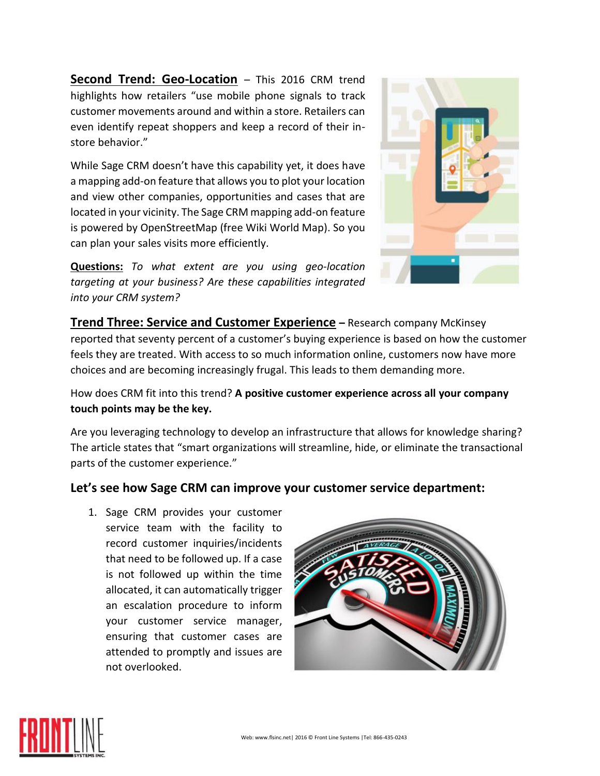**Second Trend: Geo-Location** – This 2016 CRM trend highlights how retailers "use mobile phone signals to track customer movements around and within a store. Retailers can even identify repeat shoppers and keep a record of their instore behavior."

While Sage CRM doesn't have this capability yet, it does have a mapping add-on feature that allows you to plot your location and view other companies, opportunities and cases that are located in your vicinity. The Sage CRM mapping add-on feature is powered by OpenStreetMap (free Wiki World Map). So you can plan your sales visits more efficiently.



**Questions:** *To what extent are you using geo-location targeting at your business? Are these capabilities integrated into your CRM system?*

**Trend Three: Service and Customer Experience – Research company McKinsey** reported that seventy percent of a customer's buying experience is based on how the customer feels they are treated. With access to so much information online, customers now have more choices and are becoming increasingly frugal. This leads to them demanding more.

How does CRM fit into this trend? **A positive customer experience across all your company touch points may be the key.** 

Are you leveraging technology to develop an infrastructure that allows for knowledge sharing? The article states that "smart organizations will streamline, hide, or eliminate the transactional parts of the customer experience."

# **Let's see how Sage CRM can improve your customer service department:**

1. Sage CRM provides your customer service team with the facility to record customer inquiries/incidents that need to be followed up. If a case is not followed up within the time allocated, it can automatically trigger an escalation procedure to inform your customer service manager, ensuring that customer cases are attended to promptly and issues are not overlooked.



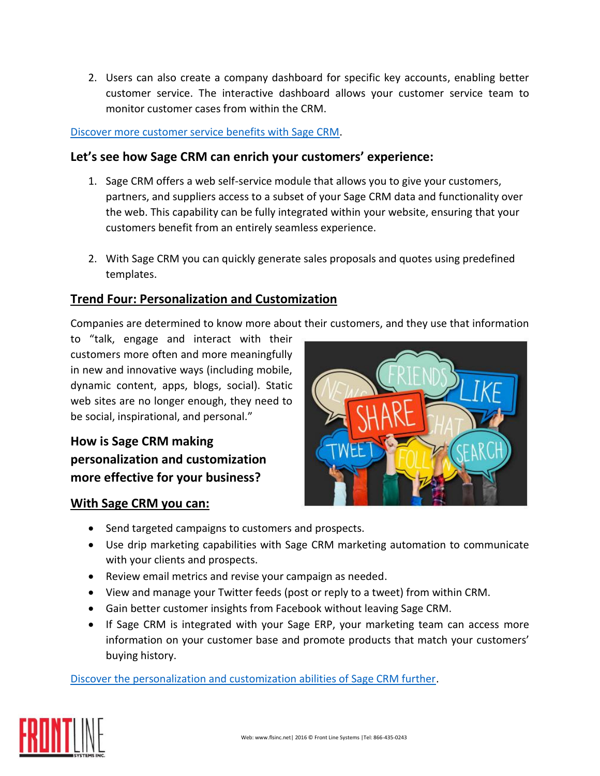2. Users can also create a company dashboard for specific key accounts, enabling better customer service. The interactive dashboard allows your customer service team to monitor customer cases from within the CRM.

#### [Discover more customer service benefits with Sage CRM.](http://mysagesell.com/portal/wp-content/uploads/CRM_BrochureSalesSheets-Updates-CustomerServiceSalesSheet.pdf)

#### **Let's see how Sage CRM can enrich your customers' experience:**

- 1. Sage CRM offers a web self-service module that allows you to give your customers, partners, and suppliers access to a subset of your Sage CRM data and functionality over the web. This capability can be fully integrated within your website, ensuring that your customers benefit from an entirely seamless experience.
- 2. With Sage CRM you can quickly generate sales proposals and quotes using predefined templates.

# **Trend Four: Personalization and Customization**

Companies are determined to know more about their customers, and they use that information

to "talk, engage and interact with their customers more often and more meaningfully in new and innovative ways (including mobile, dynamic content, apps, blogs, social). Static web sites are no longer enough, they need to be social, inspirational, and personal."

**How is Sage CRM making personalization and customization more effective for your business?**

#### **With Sage CRM you can:**



- Send targeted campaigns to customers and prospects.
- Use drip marketing capabilities with Sage CRM marketing automation to communicate with your clients and prospects.
- Review email metrics and revise your campaign as needed.
- View and manage your Twitter feeds (post or reply to a tweet) from within CRM.
- Gain better customer insights from Facebook without leaving Sage CRM.
- If Sage CRM is integrated with your Sage ERP, your marketing team can access more information on your customer base and promote products that match your customers' buying history.

[Discover the personalization and customization abilities of Sage CRM further.](http://mysagesell.com/portal/wp-content/uploads/CRM_BrochureSalesSheets-Updates-SalesManagmentSalesSheet.pdf)